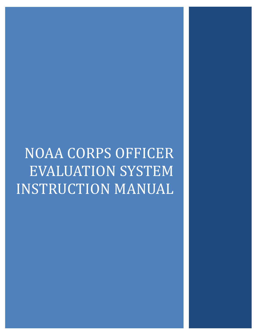# NOAA CORPS OFFICER EVALUATION SYSTEM INSTRUCTION MANUAL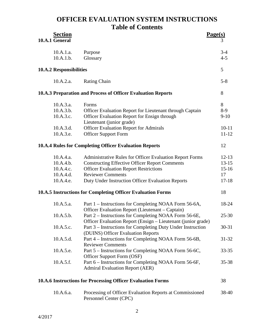### **OFFICER EVALUATION SYSTEM INSTRUCTIONS Table of Contents**

| <b>Section</b><br>10.A.1 General                              |                                                                                                                                                                                                                                                            | Page(s) | 3                                                    |
|---------------------------------------------------------------|------------------------------------------------------------------------------------------------------------------------------------------------------------------------------------------------------------------------------------------------------------|---------|------------------------------------------------------|
| 10.A.1.a.<br>10.A.1.b.                                        | Purpose<br>Glossary                                                                                                                                                                                                                                        |         | $3 - 4$<br>$4 - 5$                                   |
| 10.A.2 Responsibilities                                       |                                                                                                                                                                                                                                                            |         | 5                                                    |
| 10.A.2.a.                                                     | <b>Rating Chain</b>                                                                                                                                                                                                                                        |         | $5 - 8$                                              |
|                                                               | 10.A.3 Preparation and Process of Officer Evaluation Reports                                                                                                                                                                                               |         | 8                                                    |
| 10.A.3.a.<br>10.A.3.b.<br>10.A.3.c.                           | Forms<br>Officer Evaluation Report for Lieutenant through Captain<br>Officer Evaluation Report for Ensign through<br>Lieutenant (junior grade)                                                                                                             |         | 8<br>$8-9$<br>$9-10$                                 |
| 10.A.3.d.<br>10.A.3.e.                                        | <b>Officer Evaluation Report for Admirals</b><br><b>Officer Support Form</b>                                                                                                                                                                               |         | $10 - 11$<br>$11 - 12$                               |
|                                                               | <b>10.A.4 Rules for Completing Officer Evaluation Reports</b>                                                                                                                                                                                              |         | 12                                                   |
| 10.A.4.a.<br>10.A.4.b.<br>10.A.4.c.<br>10.A.4.d.<br>10.A.4.e. | <b>Administrative Rules for Officer Evaluation Report Forms</b><br><b>Constructing Effective Officer Report Comments</b><br><b>Officer Evaluation Report Restrictions</b><br><b>Reviewer Comments</b><br>Duty Under Instruction Officer Evaluation Reports |         | $12 - 13$<br>$13 - 15$<br>$15-16$<br>17<br>$17 - 18$ |
|                                                               | 10.A.5 Instructions for Completing Officer Evaluation Forms                                                                                                                                                                                                |         | 18                                                   |
| 10.A.5.a.                                                     | Part 1 – Instructions for Completing NOAA Form 56-6A,<br>Officer Evaluation Report (Lieutenant – Captain)                                                                                                                                                  |         | 18-24                                                |
| 10.A.5.b.<br>10.A.5.c.                                        | Part 2 – Instructions for Completing NOAA Form 56-6E,<br>Officer Evaluation Report (Ensign – Lieutenant (junior grade)<br>Part 3 – Instructions for Completing Duty Under Instruction                                                                      |         | $25 - 30$<br>$30 - 31$                               |
| 10.A.5.d.                                                     | (DUINS) Officer Evaluation Reports<br>Part 4 - Instructions for Completing NOAA Form 56-6B,<br><b>Reviewer Comments</b>                                                                                                                                    |         | 31-32                                                |
| 10.A.5.e.                                                     | Part 5 – Instructions for Completing NOAA Form 56-6C,<br>Officer Support Form (OSF)                                                                                                                                                                        |         | 33-35                                                |
| 10.A.5.f.                                                     | Part 6 - Instructions for Completing NOAA Form 56-6F,<br><b>Admiral Evaluation Report (AER)</b>                                                                                                                                                            |         | 35-38                                                |
|                                                               | 10.A.6 Instructions for Processing Officer Evaluation Forms                                                                                                                                                                                                |         | 38                                                   |
| 10.A.6.a.                                                     | Processing of Officer Evaluation Reports at Commissioned<br>Personnel Center (CPC)                                                                                                                                                                         |         | 38-40                                                |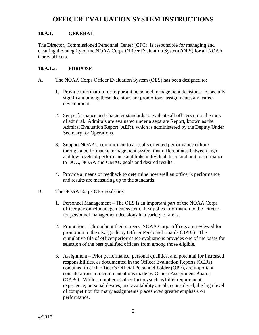### **10.A.1. GENERAL**

The Director, Commissioned Personnel Center (CPC), is responsible for managing and ensuring the integrity of the NOAA Corps Officer Evaluation System (OES) for all NOAA Corps officers.

### **10.A.1.a. PURPOSE**

- A. The NOAA Corps Officer Evaluation System (OES) has been designed to:
	- 1. Provide information for important personnel management decisions. Especially significant among these decisions are promotions, assignments, and career development.
	- 2. Set performance and character standards to evaluate all officers up to the rank of admiral. Admirals are evaluated under a separate Report, known as the Admiral Evaluation Report (AER), which is administered by the Deputy Under Secretary for Operations.
	- 3. Support NOAA's commitment to a results oriented performance culture through a performance management system that differentiates between high and low levels of performance and links individual, team and unit performance to DOC, NOAA and OMAO goals and desired results.
	- 4. Provide a means of feedback to determine how well an officer's performance and results are measuring up to the standards.
- B. The NOAA Corps OES goals are:
	- 1. Personnel Management The OES is an important part of the NOAA Corps officer personnel management system. It supplies information to the Director for personnel management decisions in a variety of areas.
	- 2. Promotion Throughout their careers, NOAA Corps officers are reviewed for promotion to the next grade by Officer Personnel Boards (OPBs). The cumulative file of officer performance evaluations provides one of the bases for selection of the best qualified officers from among those eligible.
	- 3. Assignment Prior performance, personal qualities, and potential for increased responsibilities, as documented in the Officer Evaluation Reports (OERs) contained in each officer's Official Personnel Folder (OPF), are important considerations in recommendations made by Officer Assignment Boards (OABs). While a number of other factors such as billet requirements, experience, personal desires, and availability are also considered, the high level of competition for many assignments places even greater emphasis on performance.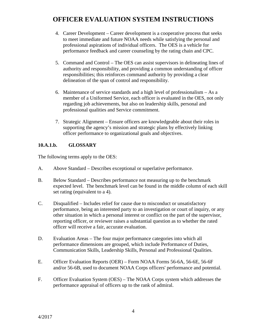- 4. Career Development Career development is a cooperative process that seeks to meet immediate and future NOAA needs while satisfying the personal and professional aspirations of individual officers. The OES is a vehicle for performance feedback and career counseling by the rating chain and CPC.
- 5. Command and Control The OES can assist supervisors in delineating lines of authority and responsibility, and providing a common understanding of officer responsibilities; this reinforces command authority by providing a clear delineation of the span of control and responsibility.
- 6. Maintenance of service standards and a high level of professionalism As a member of a Uniformed Service, each officer is evaluated in the OES, not only regarding job achievements, but also on leadership skills, personal and professional qualities and Service commitment.
- 7. Strategic Alignment Ensure officers are knowledgeable about their roles in supporting the agency's mission and strategic plans by effectively linking officer performance to organizational goals and objectives.

### **10.A.1.b. GLOSSARY**

The following terms apply to the OES:

- A. Above Standard Describes exceptional or superlative performance.
- B. Below Standard Describes performance not measuring up to the benchmark expected level. The benchmark level can be found in the middle column of each skill set rating (equivalent to a 4).
- C. Disqualified Includes relief for cause due to misconduct or unsatisfactory performance, being an interested party to an investigation or court of inquiry, or any other situation in which a personal interest or conflict on the part of the supervisor, reporting officer, or reviewer raises a substantial question as to whether the rated officer will receive a fair, accurate evaluation.
- D. Evaluation Areas The four major performance categories into which all performance dimensions are grouped, which include Performance of Duties, Communication Skills, Leadership Skills, Personal and Professional Qualities.
- E. Officer Evaluation Reports (OER) Form NOAA Forms 56-6A, 56-6E, 56-6F and/or 56-6B, used to document NOAA Corps officers' performance and potential.
- F. Officer Evaluation System (OES) The NOAA Corps system which addresses the performance appraisal of officers up to the rank of admiral.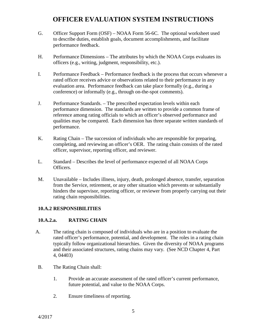- G. Officer Support Form (OSF) NOAA Form 56-6C. The optional worksheet used to describe duties, establish goals, document accomplishments, and facilitate performance feedback.
- H. Performance Dimensions The attributes by which the NOAA Corps evaluates its officers (e.g., writing, judgment, responsibility, etc.).
- I. Performance Feedback Performance feedback is the process that occurs whenever a rated officer receives advice or observations related to their performance in any evaluation area. Performance feedback can take place formally (e.g., during a conference) or informally (e.g., through on-the-spot comments).
- J. Performance Standards. The prescribed expectation levels within each performance dimension. The standards are written to provide a common frame of reference among rating officials to which an officer's observed performance and qualities may be compared. Each dimension has three separate written standards of performance.
- K. Rating Chain The succession of individuals who are responsible for preparing, completing, and reviewing an officer's OER. The rating chain consists of the rated officer, supervisor, reporting officer, and reviewer.
- L. Standard Describes the level of performance expected of all NOAA Corps Officers.
- M. Unavailable Includes illness, injury, death, prolonged absence, transfer, separation from the Service, retirement, or any other situation which prevents or substantially hinders the supervisor, reporting officer, or reviewer from properly carrying out their rating chain responsibilities.

#### **10.A.2 RESPONSIBILITIES**

#### **10.A.2.a. RATING CHAIN**

- A. The rating chain is composed of individuals who are in a position to evaluate the rated officer's performance, potential, and development. The roles in a rating chain typically follow organizational hierarchies. Given the diversity of NOAA programs and their associated structures, rating chains may vary. (See NCD Chapter 4, Part 4, 04403)
- B. The Rating Chain shall:
	- 1. Provide an accurate assessment of the rated officer's current performance, future potential, and value to the NOAA Corps.
	- 2. Ensure timeliness of reporting.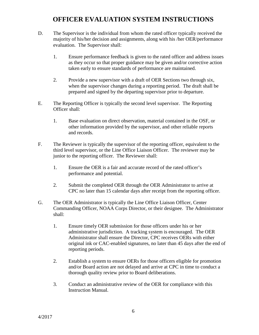- D. The Supervisor is the individual from whom the rated officer typically received the majority of his/her decision and assignments, along with his /her OER/performance evaluation. The Supervisor shall:
	- 1. Ensure performance feedback is given to the rated officer and address issues as they occur so that proper guidance may be given and/or corrective action taken early to ensure standards of performance are maintained.
	- 2. Provide a new supervisor with a draft of OER Sections two through six, when the supervisor changes during a reporting period. The draft shall be prepared and signed by the departing supervisor prior to departure.
- E. The Reporting Officer is typically the second level supervisor. The Reporting Officer shall:
	- 1. Base evaluation on direct observation, material contained in the OSF, or other information provided by the supervisor, and other reliable reports and records.
- F. The Reviewer is typically the supervisor of the reporting officer, equivalent to the third level supervisor, or the Line Office Liaison Officer. The reviewer may be junior to the reporting officer. The Reviewer shall:
	- 1. Ensure the OER is a fair and accurate record of the rated officer's performance and potential.
	- 2. Submit the completed OER through the OER Administrator to arrive at CPC no later than 15 calendar days after receipt from the reporting officer.
- G. The OER Administrator is typically the Line Office Liaison Officer, Center Commanding Officer, NOAA Corps Director, or their designee. The Administrator shall:
	- 1. Ensure timely OER submission for those officers under his or her administrative jurisdiction. A tracking system is encouraged. The OER Administrator shall ensure the Director, CPC receives OERs with either original ink or CAC-enabled signatures, no later than 45 days after the end of reporting periods.
	- 2. Establish a system to ensure OERs for those officers eligible for promotion and/or Board action are not delayed and arrive at CPC in time to conduct a thorough quality review prior to Board deliberations.
	- 3. Conduct an administrative review of the OER for compliance with this Instruction Manual.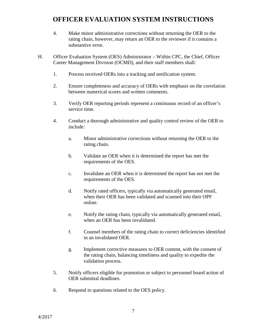- 4. Make minor administrative corrections without returning the OER to the rating chain, however, may return an OER to the reviewer if it contains a substantive error.
- H. Officer Evaluation System (OES) Administrator Within CPC, the Chief, Officer Career Management Division (OCMD), and their staff members shall:
	- 1. Process received OERs into a tracking and notification system.
	- 2. Ensure completeness and accuracy of OERs with emphasis on the correlation between numerical scores and written comments.
	- 3. Verify OER reporting periods represent a continuous record of an officer's service time.
	- 4. Conduct a thorough administrative and quality control review of the OER to include:
		- a. Minor administrative corrections without returning the OER to the rating chain.
		- b. Validate an OER when it is determined the report has met the requirements of the OES.
		- c. Invalidate an OER when it is determined the report has not met the requirements of the OES.
		- d. Notify rated officers, typically via automatically generated email, when their OER has been validated and scanned into their OPF online.
		- e. Notify the rating chain, typically via automatically generated email, when an OER has been invalidated.
		- f. Counsel members of the rating chain to correct deficiencies identified in an invalidated OER.
		- g. Implement corrective measures to OER content, with the consent of the rating chain, balancing timeliness and quality to expedite the validation process.
	- 5. Notify officers eligible for promotion or subject to personnel board action of OER submittal deadlines.
	- 6. Respond to questions related to the OES policy.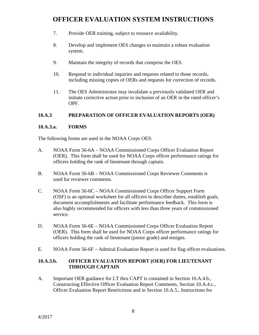- 7. Provide OER training, subject to resource availability.
- 8. Develop and implement OES changes to maintain a robust evaluation system.
- 9. Maintain the integrity of records that comprise the OES.
- 10. Respond to individual inquiries and requests related to those records, including missing copies of OERs and requests for correction of records.
- 11. The OES Administrator may invalidate a previously validated OER and initiate corrective action prior to inclusion of an OER in the rated officer's OPF.

### **10.A.3 PREPARATION OF OFFICER EVALUATION REPORTS (OER)**

### **10.A.3.a. FORMS**

The following forms are used in the NOAA Corps OES:

- A. NOAA Form 56-6A NOAA Commissioned Corps Officer Evaluation Report (OER). This form shall be used for NOAA Corps officer performance ratings for officers holding the rank of lieutenant through captain.
- B. NOAA Form 56-6B NOAA Commissioned Corps Reviewer Comments is used for reviewer comments.
- C. NOAA Form 56-6C NOAA Commissioned Corps Officer Support Form (OSF) is an optional worksheet for all officers to describer duties, establish goals, document accomplishments and facilitate performance feedback. This form is also highly recommended for officers with less than three years of commissioned service.
- D. NOAA Form 56-6E NOAA Commissioned Corps Officer Evaluation Report (OER). This form shall be used for NOAA Corps officer performance ratings for officers holding the rank of lieutenant (junior grade) and ensigns.
- E. NOAA Form 56-6F Admiral Evaluation Report is used for flag officer evaluations.

### **10.A.3.b. OFFICER EVALUATION REPORT (OER) FOR LIEUTENANT THROUGH CAPTAIN**

A. Important OER guidance for LT thru CAPT is contained in Section 10.A.4.b., Constructing Effective Officer Evaluation Report Comments, Section 10.A.4.c., Officer Evaluation Report Restrictions and in Section 10.A.5., Instructions for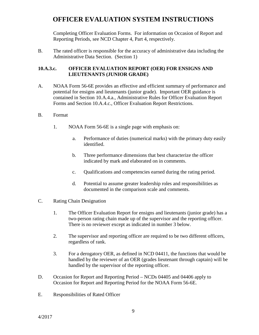Completing Officer Evaluation Forms. For information on Occasion of Report and Reporting Periods, see NCD Chapter 4, Part 4, respectively.

B. The rated officer is responsible for the accuracy of administrative data including the Administrative Data Section. (Section 1)

### **10.A.3.c. OFFICER EVALUATION REPORT (OER) FOR ENSIGNS AND LIEUTENANTS (JUNIOR GRADE)**

A. NOAA Form 56-6E provides an effective and efficient summary of performance and potential for ensigns and lieutenants (junior grade). Important OER guidance is contained in Section 10.A.4.a., Administrative Rules for Officer Evaluation Report Forms and Section 10.A.4.c., Officer Evaluation Report Restrictions.

#### B. Format

- 1. NOAA Form 56-6E is a single page with emphasis on:
	- a. Performance of duties (numerical marks) with the primary duty easily identified.
	- b. Three performance dimensions that best characterize the officer indicated by mark and elaborated on in comments.
	- c. Qualifications and competencies earned during the rating period.
	- d. Potential to assume greater leadership roles and responsibilities as documented in the comparison scale and comments.
- C. Rating Chain Designation
	- 1. The Officer Evaluation Report for ensigns and lieutenants (junior grade) has a two-person rating chain made up of the supervisor and the reporting officer. There is no reviewer except as indicated in number 3 below.
	- 2. The supervisor and reporting officer are required to be two different officers, regardless of rank.
	- 3. For a derogatory OER, as defined in NCD 04411, the functions that would be handled by the reviewer of an OER (grades lieutenant through captain) will be handled by the supervisor of the reporting officer.
- D. Occasion for Report and Reporting Period NCDs 04405 and 04406 apply to Occasion for Report and Reporting Period for the NOAA Form 56-6E.
- E. Responsibilities of Rated Officer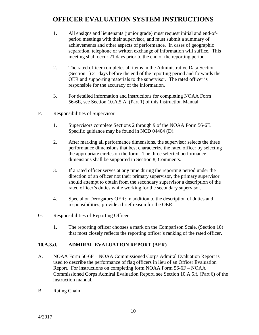- 1. All ensigns and lieutenants (junior grade) must request initial and end-ofperiod meetings with their supervisor, and must submit a summary of achievements and other aspects of performance. In cases of geographic separation, telephone or written exchange of information will suffice. This meeting shall occur 21 days prior to the end of the reporting period.
- 2. The rated officer completes all items in the Administrative Data Section (Section 1) 21 days before the end of the reporting period and forwards the OER and supporting materials to the supervisor. The rated officer is responsible for the accuracy of the information.
- 3. For detailed information and instructions for completing NOAA Form 56-6E, see Section 10.A.5.A. (Part 1) of this Instruction Manual.
- F. Responsibilities of Supervisor
	- 1. Supervisors complete Sections 2 through 9 of the NOAA Form 56-6E. Specific guidance may be found in NCD 04404 (D).
	- 2. After marking all performance dimensions, the supervisor selects the three performance dimensions that best characterize the rated officer by selecting the appropriate circles on the form. The three selected performance dimensions shall be supported in Section 8, Comments.
	- 3. If a rated officer serves at any time during the reporting period under the direction of an officer not their primary supervisor, the primary supervisor should attempt to obtain from the secondary supervisor a description of the rated officer's duties while working for the secondary supervisor.
	- 4. Special or Derogatory OER: in addition to the description of duties and responsibilities, provide a brief reason for the OER.
- G. Responsibilities of Reporting Officer
	- 1. The reporting officer chooses a mark on the Comparison Scale, (Section 10) that most closely reflects the reporting officer's ranking of the rated officer.

#### **10.A.3.d. ADMIRAL EVALUATION REPORT (AER)**

- A. NOAA Form 56-6F NOAA Commissioned Corps Admiral Evaluation Report is used to describe the performance of flag officers in lieu of an Officer Evaluation Report. For instructions on completing form NOAA Form 56-6F – NOAA Commissioned Corps Admiral Evaluation Report, see Section 10.A.5.f. (Part 6) of the instruction manual.
- B. Rating Chain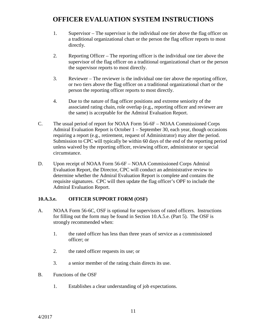- 1. Supervisor The supervisor is the individual one tier above the flag officer on a traditional organizational chart or the person the flag officer reports to most directly.
- 2. Reporting Officer The reporting officer is the individual one tier above the supervisor of the flag officer on a traditional organizational chart or the person the supervisor reports to most directly.
- 3. Reviewer The reviewer is the individual one tier above the reporting officer, or two tiers above the flag officer on a traditional organizational chart or the person the reporting officer reports to most directly.
- 4. Due to the nature of flag officer positions and extreme seniority of the associated rating chain, role overlap (e.g., reporting officer and reviewer are the same) is acceptable for the Admiral Evaluation Report.
- C. The usual period of report for NOAA Form 56-6F NOAA Commissioned Corps Admiral Evaluation Report is October 1 – September 30, each year, though occasions requiring a report (e.g., retirement, request of Administrator) may alter the period. Submission to CPC will typically be within 60 days of the end of the reporting period unless waived by the reporting officer, reviewing officer, administrator or special circumstance.
- D. Upon receipt of NOAA Form 56-6F NOAA Commissioned Corps Admiral Evaluation Report, the Director, CPC will conduct an administrative review to determine whether the Admiral Evaluation Report is complete and contains the requisite signatures. CPC will then update the flag officer's OPF to include the Admiral Evaluation Report.

#### **10.A.3.e. OFFICER SUPPORT FORM (OSF)**

- A. NOAA Form 56-6C, OSF is optional for supervisors of rated officers. Instructions for filling out the form may be found in Section 10.A.5.e. (Part 5). The OSF is strongly recommended when:
	- 1. the rated officer has less than three years of service as a commissioned officer; or
	- 2. the rated officer requests its use; or
	- 3. a senior member of the rating chain directs its use.
- B. Functions of the OSF
	- 1. Establishes a clear understanding of job expectations.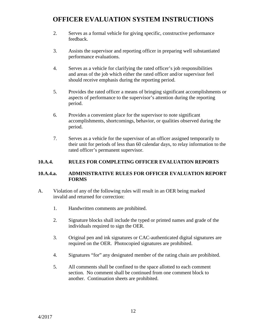- 2. Serves as a formal vehicle for giving specific, constructive performance feedback.
- 3. Assists the supervisor and reporting officer in preparing well substantiated performance evaluations.
- 4. Serves as a vehicle for clarifying the rated officer's job responsibilities and areas of the job which either the rated officer and/or supervisor feel should receive emphasis during the reporting period.
- 5. Provides the rated officer a means of bringing significant accomplishments or aspects of performance to the supervisor's attention during the reporting period.
- 6. Provides a convenient place for the supervisor to note significant accomplishments, shortcomings, behavior, or qualities observed during the period.
- 7. Serves as a vehicle for the supervisor of an officer assigned temporarily to their unit for periods of less than 60 calendar days, to relay information to the rated officer's permanent supervisor.

### **10.A.4. RULES FOR COMPLETING OFFICER EVALUATION REPORTS**

### **10.A.4.a. ADMINISTRATIVE RULES FOR OFFICER EVALUATION REPORT FORMS**

- A. Violation of any of the following rules will result in an OER being marked invalid and returned for correction:
	- 1. Handwritten comments are prohibited.
	- 2. Signature blocks shall include the typed or printed names and grade of the individuals required to sign the OER.
	- 3. Original pen and ink signatures or CAC-authenticated digital signatures are required on the OER. Photocopied signatures are prohibited.
	- 4. Signatures "for" any designated member of the rating chain are prohibited.
	- 5. All comments shall be confined to the space allotted to each comment section. No comment shall be continued from one comment block to another. Continuation sheets are prohibited.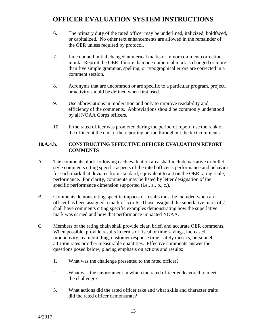- 6. The primary duty of the rated officer may be underlined, italicized, boldfaced, or capitalized. No other text enhancements are allowed in the remainder of the OER unless required by protocol.
- 7. Line out and initial changed numerical marks or minor comment corrections in ink. Reprint the OER if more than one numerical mark is changed or more than five simple grammar, spelling, or typographical errors are corrected in a comment section.
- 8. Acronyms that are uncommon or are specific to a particular program, project, or activity should be defined when first used.
- 9. Use abbreviations in moderation and only to improve readability and efficiency of the comments. Abbreviations should be commonly understood by all NOAA Corps officers.
- 10. If the rated officer was promoted during the period of report, use the rank of the officer at the end of the reporting period throughout the text comments.

### **10.A.4.b. CONSTRUCTING EFFECTIVE OFFICER EVALUATION REPORT COMMENTS**

- A. The comments block following each evaluation area shall include narrative or bulletstyle comments citing specific aspects of the rated officer's performance and behavior for each mark that deviates from standard, equivalent to a 4 on the OER rating scale, performance. For clarity, comments may be listed by letter designation of the specific performance dimension supported (i.e., a., b., c.).
- B. Comments demonstrating specific impacts or results must be included when an officer has been assigned a mark of 5 or 6. Those assigned the superlative mark of 7, shall have comments citing specific examples demonstrating how the superlative mark was earned and how that performance impacted NOAA.
- C. Members of the rating chain shall provide clear, brief, and accurate OER comments. When possible, provide results in terms of fiscal or time savings, increased productivity, team building, customer response time, safety metrics, personnel attrition rates or other measurable quantities. Effective comments answer the questions posed below, placing emphasis on actions and results:
	- 1. What was the challenge presented to the rated officer?
	- 2. What was the environment in which the rated officer endeavored to meet the challenge?
	- 3. What actions did the rated officer take and what skills and character traits did the rated officer demonstrate?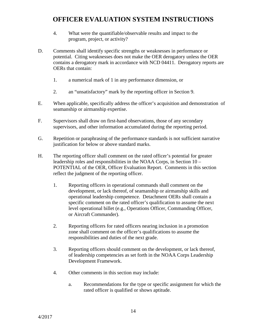- 4. What were the quantifiable/observable results and impact to the program, project, or activity?
- D. Comments shall identify specific strengths or weaknesses in performance or potential. Citing weaknesses does not make the OER derogatory unless the OER contains a derogatory mark in accordance with NCD 04411. Derogatory reports are OERs that contain:
	- 1. a numerical mark of 1 in any performance dimension, or
	- 2. an "unsatisfactory" mark by the reporting officer in Section 9.
- E. When applicable, specifically address the officer's acquisition and demonstration of seamanship or airmanship expertise.
- F. Supervisors shall draw on first-hand observations, those of any secondary supervisors, and other information accumulated during the reporting period.
- G. Repetition or paraphrasing of the performance standards is not sufficient narrative justification for below or above standard marks.
- H. The reporting officer shall comment on the rated officer's potential for greater leadership roles and responsibilities in the NOAA Corps, in Section 10 – POTENTIAL of the OER, Officer Evaluation Report. Comments in this section reflect the judgment of the reporting officer.
	- 1. Reporting officers in operational commands shall comment on the development, or lack thereof, of seamanship or airmanship skills and operational leadership competence. Detachment OERs shall contain a specific comment on the rated officer's qualification to assume the next level operational billet (e.g., Operations Officer, Commanding Officer, or Aircraft Commander).
	- 2. Reporting officers for rated officers nearing inclusion in a promotion zone shall comment on the officer's qualifications to assume the responsibilities and duties of the next grade.
	- 3. Reporting officers should comment on the development, or lack thereof, of leadership competencies as set forth in the NOAA Corps Leadership Development Framework.
	- 4. Other comments in this section may include:
		- a. Recommendations for the type or specific assignment for which the rated officer is qualified or shows aptitude.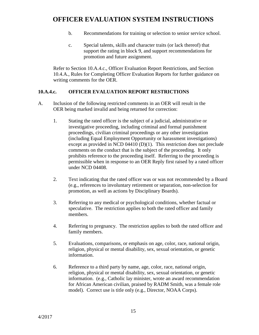- b. Recommendations for training or selection to senior service school.
- c. Special talents, skills and character traits (or lack thereof) that support the rating in block 9, and support recommendations for promotion and future assignment.

Refer to Section 10.A.4.c., Officer Evaluation Report Restrictions, and Section 10.4.A., Rules for Completing Officer Evaluation Reports for further guidance on writing comments for the OER.

#### **10.A.4.c. OFFICER EVALUATION REPORT RESTRICTIONS**

- A. Inclusion of the following restricted comments in an OER will result in the OER being marked invalid and being returned for correction:
	- 1. Stating the rated officer is the subject of a judicial, administrative or investigative proceeding, including criminal and formal punishment proceedings, civilian criminal proceedings or any other investigation (including Equal Employment Opportunity or harassment investigations) except as provided in NCD 04410 (D)(1). This restriction does not preclude comments on the conduct that is the subject of the proceeding. It only prohibits reference to the proceeding itself. Referring to the proceeding is permissible when in response to an OER Reply first raised by a rated officer under NCD 04408.
	- 2. Text indicating that the rated officer was or was not recommended by a Board (e.g., references to involuntary retirement or separation, non-selection for promotion, as well as actions by Disciplinary Boards).
	- 3. Referring to any medical or psychological conditions, whether factual or speculative. The restriction applies to both the rated officer and family members.
	- 4. Referring to pregnancy. The restriction applies to both the rated officer and family members.
	- 5. Evaluations, comparisons, or emphasis on age, color, race, national origin, religion, physical or mental disability, sex, sexual orientation, or genetic information.
	- 6. Reference to a third party by name, age, color, race, national origin, religion, physical or mental disability, sex, sexual orientation, or genetic information. (e.g., Catholic lay minister, wrote an award recommendation for African American civilian, praised by RADM Smith, was a female role model). Correct use is title only (e.g., Director, NOAA Corps).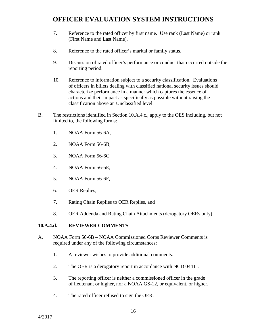- 7. Reference to the rated officer by first name. Use rank (Last Name) or rank (First Name and Last Name).
- 8. Reference to the rated officer's marital or family status.
- 9. Discussion of rated officer's performance or conduct that occurred outside the reporting period.
- 10. Reference to information subject to a security classification. Evaluations of officers in billets dealing with classified national security issues should characterize performance in a manner which captures the essence of actions and their impact as specifically as possible without raising the classification above an Unclassified level.
- B. The restrictions identified in Section 10.A.4.c., apply to the OES including, but not limited to, the following forms:
	- 1. NOAA Form 56-6A,
	- 2. NOAA Form 56-6B,
	- 3. NOAA Form 56-6C,
	- 4. NOAA Form 56-6E,
	- 5. NOAA Form 56-6F,
	- 6. OER Replies,
	- 7. Rating Chain Replies to OER Replies, and
	- 8. OER Addenda and Rating Chain Attachments (derogatory OERs only)

#### **10.A.4.d. REVIEWER COMMENTS**

- A. NOAA Form 56-6B NOAA Commissioned Corps Reviewer Comments is required under any of the following circumstances:
	- 1. A reviewer wishes to provide additional comments.
	- 2. The OER is a derogatory report in accordance with NCD 04411.
	- 3. The reporting officer is neither a commissioned officer in the grade of lieutenant or higher, nor a NOAA GS-12, or equivalent, or higher.
	- 4. The rated officer refused to sign the OER.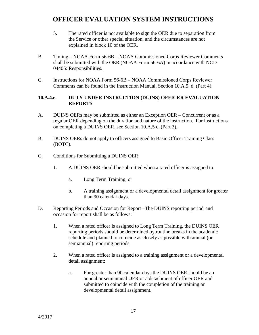- 5. The rated officer is not available to sign the OER due to separation from the Service or other special situation, and the circumstances are not explained in block 10 of the OER.
- B. Timing NOAA Form 56-6B NOAA Commissioned Corps Reviewer Comments shall be submitted with the OER (NOAA Form 56-6A) in accordance with NCD 04405: Responsibilities.
- C. Instructions for NOAA Form 56-6B NOAA Commissioned Corps Reviewer Comments can be found in the Instruction Manual, Section 10.A.5. d. (Part 4).

### **10.A.4.e. DUTY UNDER INSTRUCTION (DUINS) OFFICER EVALUATION REPORTS**

- A. DUINS OERs may be submitted as either an Exception OER Concurrent or as a regular OER depending on the duration and nature of the instruction. For instructions on completing a DUINS OER, see Section 10.A.5 c. (Part 3).
- B. DUINS OERs do not apply to officers assigned to Basic Officer Training Class (BOTC).
- C. Conditions for Submitting a DUINS OER:
	- 1. A DUINS OER should be submitted when a rated officer is assigned to:
		- a. Long Term Training, or
		- b. A training assignment or a developmental detail assignment for greater than 90 calendar days.
- D. Reporting Periods and Occasion for Report –The DUINS reporting period and occasion for report shall be as follows:
	- 1. When a rated officer is assigned to Long Term Training, the DUINS OER reporting periods should be determined by routine breaks in the academic schedule and planned to coincide as closely as possible with annual (or semiannual) reporting periods.
	- 2. When a rated officer is assigned to a training assignment or a developmental detail assignment:
		- a. For greater than 90 calendar days the DUINS OER should be an annual or semiannual OER or a detachment of officer OER and submitted to coincide with the completion of the training or developmental detail assignment.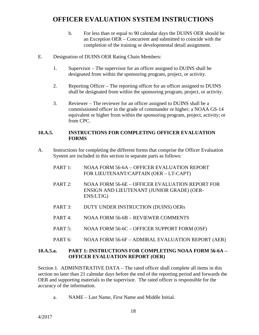- b. For less than or equal to 90 calendar days the DUINS OER should be an Exception OER – Concurrent and submitted to coincide with the completion of the training or developmental detail assignment.
- E. Designation of DUINS OER Rating Chain Members:
	- 1. Supervisor The supervisor for an officer assigned to DUINS shall be designated from within the sponsoring program, project, or activity.
	- 2. Reporting Officer The reporting officer for an officer assigned to DUINS shall be designated from within the sponsoring program, project, or activity.
	- 3. Reviewer The reviewer for an officer assigned to DUINS shall be a commissioned officer in the grade of commander or higher; a NOAA GS-14 equivalent or higher from within the sponsoring program, project, activity; or from CPC.

#### **10.A.5. INSTRUCTIONS FOR COMPLETING OFFICER EVALUATION FORMS**

- A. Instructions for completing the different forms that comprise the Officer Evaluation System are included in this section in separate parts as follows:
	- PART 1: NOAA FORM 56-6A OFFICER EVALUATION REPORT FOR LIEUTENANT/CAPTAIN (OER – LT-CAPT)
	- PART 2: NOAA FORM 56-6E OFFICER EVALUATION REPORT FOR ENSIGN AND LIEUTENANT (JUNIOR GRADE) (OER-ENS/LTJG)
	- PART 3: DUTY UNDER INSTRUCTION (DUINS) OERs
	- PART 4: NOAA FORM 56-6B REVIEWER COMMENTS
	- PART 5: NOAA FORM 56-6C OFFICER SUPPORT FORM (OSF)
	- PART 6: NOAA FORM 56-6F ADMIRAL EVALUATION REPORT (AER)

#### **10.A.5.a. PART 1: INSTRUCTIONS FOR COMPLETING NOAA FORM 56-6A – OFFICER EVALUATION REPORT (OER)**

Section 1. ADMINISTRATIVE DATA – The rated officer shall complete all items in this section no later than 21 calendar days before the end of the reporting period and forwards the OER and supporting materials to the supervisor. The rated officer is responsible for the accuracy of the information.

a. NAME – Last Name, First Name and Middle Initial.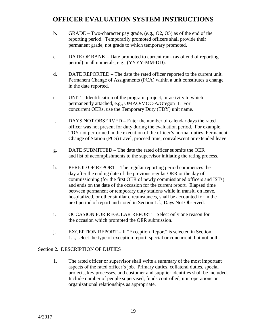- b. GRADE Two-character pay grade, (e.g., O2, O5) as of the end of the reporting period. Temporarily promoted officers shall provide their permanent grade, not grade to which temporary promoted.
- c. DATE OF RANK Date promoted to current rank (as of end of reporting period) in all numerals, e.g., (YYYY-MM-DD).
- d. DATE REPORTED The date the rated officer reported to the current unit. Permanent Change of Assignments (PCA) within a unit constitutes a change in the date reported.
- e. UNIT Identification of the program, project, or activity to which permanently attached, e.g., OMAO/MOC-A/Oregon II. For concurrent OERs, use the Temporary Duty (TDY) unit name.
- f. DAYS NOT OBSERVED Enter the number of calendar days the rated officer was not present for duty during the evaluation period. For example, TDY not performed in the execution of the officer's normal duties, Permanent Change of Station (PCS) travel, proceed time, convalescent or extended leave.
- g. DATE SUBMITTED The date the rated officer submits the OER and list of accomplishments to the supervisor initiating the rating process.
- h. PERIOD OF REPORT The regular reporting period commences the day after the ending date of the previous regular OER or the day of commissioning (for the first OER of newly commissioned officers and ISTs) and ends on the date of the occasion for the current report. Elapsed time between permanent or temporary duty stations while in transit, on leave, hospitalized, or other similar circumstances, shall be accounted for in the next period of report and noted in Section 1.f., Days Not Observed.
- i. OCCASION FOR REGULAR REPORT Select only one reason for the occasion which prompted the OER submission.
- j. EXCEPTION REPORT If "Exception Report" is selected in Section 1.i., select the type of exception report, special or concurrent, but not both.

#### Section 2. DESCRIPTION OF DUTIES

1. The rated officer or supervisor shall write a summary of the most important aspects of the rated officer's job. Primary duties, collateral duties, special projects, key processes, and customer and supplier identities shall be included. Include number of people supervised, funds controlled, unit operations or organizational relationships as appropriate.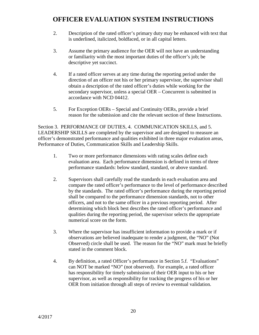- 2. Description of the rated officer's primary duty may be enhanced with text that is underlined, italicized, boldfaced, or in all capital letters.
- 3. Assume the primary audience for the OER will not have an understanding or familiarity with the most important duties of the officer's job; be descriptive yet succinct.
- 4. If a rated officer serves at any time during the reporting period under the direction of an officer not his or her primary supervisor, the supervisor shall obtain a description of the rated officer's duties while working for the secondary supervisor, unless a special OER – Concurrent is submitted in accordance with NCD 04412.
- 5. For Exception OERs Special and Continuity OERs, provide a brief reason for the submission and cite the relevant section of these Instructions.

Section 3. PERFORMANCE OF DUTIES, 4. COMMUNICATION SKILLS, and 5. LEADERSHIP SKILLS are completed by the supervisor and are designed to measure an officer's demonstrated performance and qualities exhibited in three major evaluation areas, Performance of Duties, Communication Skills and Leadership Skills.

- 1. Two or more performance dimensions with rating scales define each evaluation area. Each performance dimension is defined in terms of three performance standards: below standard, standard, or above standard.
- 2. Supervisors shall carefully read the standards in each evaluation area and compare the rated officer's performance to the level of performance described by the standards. The rated officer's performance during the reporting period shall be compared to the performance dimension standards, not to other officers, and not to the same officer in a previous reporting period. After determining which block best describes the rated officer's performance and qualities during the reporting period, the supervisor selects the appropriate numerical score on the form.
- 3. Where the supervisor has insufficient information to provide a mark or if observations are believed inadequate to render a judgment, the "NO" (Not Observed) circle shall be used. The reason for the "NO" mark must be briefly stated in the comment block.
- 4. By definition, a rated Officer's performance in Section 5.f. "Evaluations" can NOT be marked "NO" (not observed). For example, a rated officer has responsibility for timely submission of their OER input to his or her supervisor, as well as responsibility for tracking the progress of his or her OER from initiation through all steps of review to eventual validation.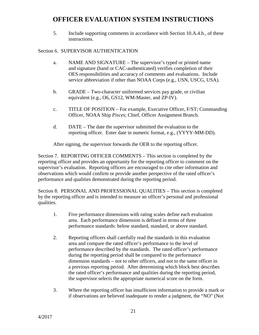5. Include supporting comments in accordance with Section 10.A.4.b., of these instructions.

### Section 6. SUPERVISOR AUTHENTICATION

- a. NAME AND SIGNATURE The supervisor's typed or printed name and signature (hand or CAC-authenticated) verifies completion of their OES responsibilities and accuracy of comments and evaluations. Include service abbreviation if other than NOAA Corps (e.g., USN, USCG, USA).
- b. GRADE Two-character uniformed services pay grade, or civilian equivalent (e.g., O6, GS12, WM-Master, and ZP-IV).
- c. TITLE OF POSITION For example, Executive Officer, F/ST; Commanding Officer, NOAA Ship *Pisces*; Chief, Officer Assignment Branch.
- d. DATE The date the supervisor submitted the evaluation to the reporting officer. Enter date in numeric format, e.g., (YYYY-MM-DD).

After signing, the supervisor forwards the OER to the reporting officer.

Section 7. REPORTING OFFICER COMMENTS – This section is completed by the reporting officer and provides an opportunity for the reporting officer to comment on the supervisor's evaluation. Reporting officers are encouraged to cite other information and observations which would confirm or provide another perspective of the rated officer's performance and qualities demonstrated during the reporting period.

Section 8. PERSONAL AND PROFESSIONAL QUALITIES – This section is completed by the reporting officer and is intended to measure an officer's personal and professional qualities.

- 1. Five performance dimensions with rating scales define each evaluation area. Each performance dimension is defined in terms of three performance standards: below standard, standard, or above standard.
- 2. Reporting officers shall carefully read the standards in this evaluation area and compare the rated officer's performance to the level of performance described by the standards. The rated officer's performance during the reporting period shall be compared to the performance dimension standards – not to other officers, and not to the same officer in a previous reporting period. After determining which block best describes the rated officer's performance and qualities during the reporting period, the supervisor selects the appropriate numerical score on the form.
- 3. Where the reporting officer has insufficient information to provide a mark or if observations are believed inadequate to render a judgment, the "NO" (Not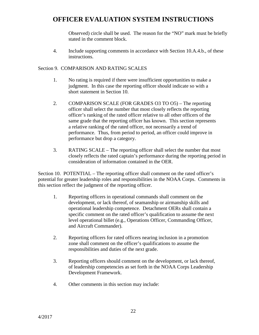Observed) circle shall be used. The reason for the "NO" mark must be briefly stated in the comment block.

4. Include supporting comments in accordance with Section 10.A.4.b., of these instructions.

#### Section 9. COMPARISON AND RATING SCALES

- 1. No rating is required if there were insufficient opportunities to make a judgment. In this case the reporting officer should indicate so with a short statement in Section 10.
- 2. COMPARISON SCALE (FOR GRADES O3 TO O5) The reporting officer shall select the number that most closely reflects the reporting officer's ranking of the rated officer relative to all other officers of the same grade that the reporting officer has known. This section represents a relative ranking of the rated officer, not necessarily a trend of performance. Thus, from period to period, an officer could improve in performance but drop a category.
- 3. RATING SCALE The reporting officer shall select the number that most closely reflects the rated captain's performance during the reporting period in consideration of information contained in the OER.

Section 10. POTENTIAL – The reporting officer shall comment on the rated officer's potential for greater leadership roles and responsibilities in the NOAA Corps. Comments in this section reflect the judgment of the reporting officer.

- 1. Reporting officers in operational commands shall comment on the development, or lack thereof, of seamanship or airmanship skills and operational leadership competence. Detachment OERs shall contain a specific comment on the rated officer's qualification to assume the next level operational billet (e.g., Operations Officer, Commanding Officer, and Aircraft Commander).
- 2. Reporting officers for rated officers nearing inclusion in a promotion zone shall comment on the officer's qualifications to assume the responsibilities and duties of the next grade.
- 3. Reporting officers should comment on the development, or lack thereof, of leadership competencies as set forth in the NOAA Corps Leadership Development Framework.
- 4. Other comments in this section may include: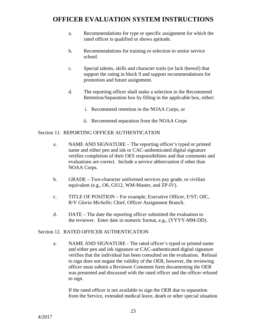- a. Recommendations for type or specific assignment for which the rated officer is qualified or shows aptitude.
- b. Recommendations for training or selection to senior service school.
- c. Special talents, skills and character traits (or lack thereof) that support the rating in block 9 and support recommendations for promotion and future assignment.
- d. The reporting officer shall make a selection in the Recommend Retention/Separation box by filling in the applicable box, either:
	- i. Recommend retention in the NOAA Corps, or
	- ii. Recommend separation from the NOAA Corps

#### Section 11. REPORTING OFFICER AUTHENTICATION

- a. NAME AND SIGNATURE The reporting officer's typed or printed name and either pen and ink or CAC-authenticated digital signature verifies completion of their OES responsibilities and that comments and evaluations are correct. Include a service abbreviation if other than NOAA Corps.
- b. GRADE Two-character uniformed services pay grade, or civilian equivalent (e.g., O6, GS12, WM-Master, and ZP-IV).
- c. TITLE OF POSITION For example, Executive Officer, F/ST; OIC, R/V *Gloria Michelle*; Chief, Officer Assignment Branch.
- d. DATE The date the reporting officer submitted the evaluation to the reviewer. Enter date in numeric format, e.g., (YYYY-MM-DD).

#### Section 12. RATED OFFICER AUTHENTICATION

a. NAME AND SIGNATURE - The rated officer's typed or printed name and either pen and ink signature or CAC-authenticated digital signature verifies that the individual has been consulted on the evaluation. Refusal to sign does not negate the validity of the OER, however, the reviewing officer must submit a Reviewer Comment form documenting the OER was presented and discussed with the rated officer and the officer refused to sign.

If the rated officer is not available to sign the OER due to separation from the Service, extended medical leave, death or other special situation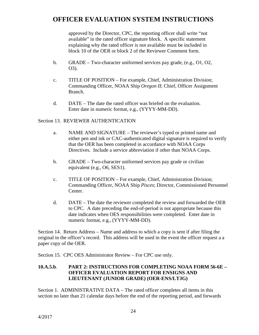approved by the Director, CPC, the reporting officer shall write "not available" in the rated officer signature block. A specific statement explaining why the rated officer is not available must be included in block 10 of the OER or block 2 of the Reviewer Comment form.

- b. GRADE Two-character uniformed services pay grade, (e.g., O1, O2, O3).
- c. TITLE OF POSITION For example, Chief, Administration Division; Commanding Officer, NOAA Ship *Oregon II*; Chief, Officer Assignment Branch.
- d. DATE The date the rated officer was briefed on the evaluation. Enter date in numeric format, e.g., (YYYY-MM-DD).

### Section 13. REVIEWER AUTHENTICATION

- a. NAME AND SIGNATURE The reviewer's typed or printed name and either pen and ink or CAC-authenticated digital signature is required to verify that the OER has been completed in accordance with NOAA Corps Directives. Include a service abbreviation if other than NOAA Corps.
- b. GRADE Two-character uniformed services pay grade or civilian equivalent (e.g., O6, SES1).
- c. TITLE OF POSITION For example, Chief, Administration Division; Commanding Officer, NOAA Ship *Pisces*; Director, Commissioned Personnel Center.
- d. DATE The date the reviewer completed the review and forwarded the OER to CPC. A date preceding the end-of-period is not appropriate because this date indicates when OES responsibilities were completed. Enter date in numeric format, e.g., (YYYY-MM-DD).

Section 14. Return Address – Name and address to which a copy is sent if after filing the original in the officer's record. This address will be used in the event the officer request a a paper copy of the OER.

Section 15. CPC OES Administrator Review – For CPC use only.

### **10.A.5.b**. **PART 2: INSTRUCTIONS FOR COMPLETING NOAA FORM 56-6E – OFFICER EVALUATION REPORT FOR ENSIGNS AND LIEUTENANT (JUNIOR GRADE) (OER-ENS/LTJG)**

Section 1. ADMINISTRATIVE DATA – The rated officer completes all items in this section no later than 21 calendar days before the end of the reporting period, and forwards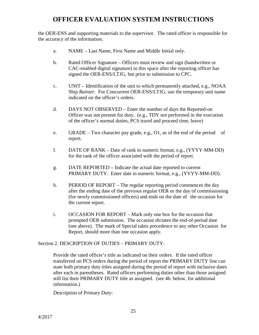the OER-ENS and supporting materials to the supervisor. The rated officer is responsible for the accuracy of the information.

- a. NAME Last Name, First Name and Middle Initial only.
- b. Rated Officer Signature Officers must review and sign (handwritten or CAC-enabled digital signature) in this space after the reporting officer has signed the OER-ENS/LTJG, but prior to submission to CPC.
- c. UNIT Identification of the unit to which permanently attached, e.g., NOAA Ship *Rainier*. For Concurrent OER-ENS/LTJG, use the temporary unit name indicated on the officer's orders.
- d. DAYS NOT OBSERVED Enter the number of days the Reported-on Officer was not present for duty. (e.g., TDY not performed in the execution of the officer's normal duties, PCS travel and proceed time, leave)
- e. GRADE Two character pay grade, e.g., O1, as of the end of the period of report.
- f. DATE OF RANK Date of rank in numeric format, e.g., (YYYY-MM-DD) for the rank of the officer associated with the period of report.
- g. DATE REPORTED Indicate the actual date reported to current PRIMARY DUTY. Enter date in numeric format, e.g., (YYYY-MM-DD).
- h. PERIOD OF REPORT The regular reporting period commences the day after the ending date of the previous regular OER or the day of commissioning (for newly commissioned officers) and ends on the date of the occasion for the current report.
- i. OCCASION FOR REPORT Mark only one box for the occasion that prompted OER submission. The occasion dictates the end-of-period date (see above). The mark of Special takes precedence to any other Occasion for Report, should more than one occasion apply.

#### Section 2. DESCRIPTION OF DUTIES – PRIMARY DUTY:

Provide the rated officer's title as indicated on their orders. If the rated officer transferred on PCS orders during the period of report the PRIMARY DUTY line can state both primary duty titles assigned during the period of report with inclusive dates after each in parentheses. Rated officers performing duties other than those assigned still list their PRIMARY DUTY title as assigned. (see 4b. below, for additional information.)

Description of Primary Duty: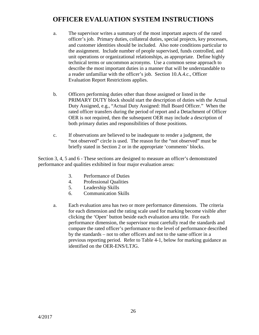- a. The supervisor writes a summary of the most important aspects of the rated officer's job. Primary duties, collateral duties, special projects, key processes, and customer identities should be included. Also note conditions particular to the assignment. Include number of people supervised, funds controlled, and unit operations or organizational relationships, as appropriate. Define highly technical terms or uncommon acronyms. Use a common sense approach to describe the most important duties in a manner that will be understandable to a reader unfamiliar with the officer's job. Section 10.A.4.c., Officer Evaluation Report Restrictions applies.
- b. Officers performing duties other than those assigned or listed in the PRIMARY DUTY block should start the description of duties with the Actual Duty Assigned, e.g., "Actual Duty Assigned: Hull Board Officer." When the rated officer transfers during the period of report and a Detachment of Officer OER is not required, then the subsequent OER may include a description of both primary duties and responsibilities of those positions.
- c. If observations are believed to be inadequate to render a judgment, the "not observed" circle is used. The reason for the "not observed" must be briefly stated in Section 2 or in the appropriate 'comments' blocks.

Section 3, 4, 5 and 6 - These sections are designed to measure an officer's demonstrated performance and qualities exhibited in four major evaluation areas:

- 3. Performance of Duties
- 4. Professional Qualities
- 5. Leadership Skills
- 6. Communication Skills
- a. Each evaluation area has two or more performance dimensions. The criteria for each dimension and the rating scale used for marking become visible after clicking the 'Open' button beside each evaluation area title. For each performance dimension, the supervisor must carefully read the standards and compare the rated officer's performance to the level of performance described by the standards – not to other officers and not to the same officer in a previous reporting period. Refer to Table 4-1, below for marking guidance as identified on the OER-ENS/LTJG.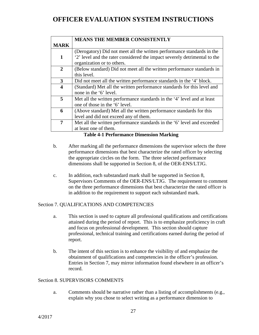|                         | <b>MEANS THE MEMBER CONSISTENTLY</b>                                                                         |  |
|-------------------------|--------------------------------------------------------------------------------------------------------------|--|
| <b>MARK</b>             |                                                                                                              |  |
|                         | (Derogatory) Did not meet all the written performance standards in the                                       |  |
| 1                       | 2' level and the rater considered the impact severely detrimental to the<br>organization or to others.       |  |
| $\mathbf{2}$            | (Below standard) Did not meet all the written performance standards in<br>this level.                        |  |
| 3                       | Did not meet all the written performance standards in the '4' block.                                         |  |
| $\overline{\mathbf{4}}$ | (Standard) Met all the written performance standards for this level and<br>none in the '6' level.            |  |
| 5                       | Met all the written performance standards in the '4' level and at least<br>one of those in the '6' level.    |  |
| 6                       | (Above standard) Met all the written performance standards for this<br>level and did not exceed any of them. |  |
| 7                       | Met all the written performance standards in the '6' level and exceeded<br>at least one of them.             |  |

**Table 4-1 Performance Dimension Marking**

- b. After marking all the performance dimensions the supervisor selects the three performance dimensions that best characterize the rated officer by selecting the appropriate circles on the form. The three selected performance dimensions shall be supported in Section 8, of the OER-ENS/LTJG.
- c. In addition, each substandard mark shall be supported in Section 8, Supervisors Comments of the OER-ENS/LTJG. The requirement to comment on the three performance dimensions that best characterize the rated officer is in addition to the requirement to support each substandard mark.

#### Section 7. QUALIFICATIONS AND COMPETENCIES

- a. This section is used to capture all professional qualifications and certifications attained during the period of report. This is to emphasize proficiency in craft and focus on professional development. This section should capture professional, technical training and certifications earned during the period of report.
- b. The intent of this section is to enhance the visibility of and emphasize the obtainment of qualifications and competencies in the officer's profession. Entries in Section 7, may mirror information found elsewhere in an officer's record.

#### Section 8. SUPERVISORS COMMENTS

a. Comments should be narrative rather than a listing of accomplishments (e.g., explain why you chose to select writing as a performance dimension to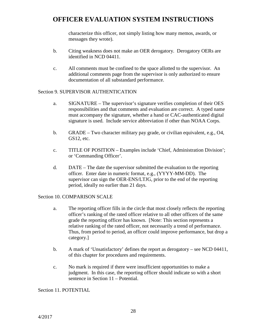characterize this officer, not simply listing how many memos, awards, or messages they wrote).

- b. Citing weakness does not make an OER derogatory. Derogatory OERs are identified in NCD 04411.
- c. All comments must be confined to the space allotted to the supervisor. An additional comments page from the supervisor is only authorized to ensure documentation of all substandard performance.

#### Section 9. SUPERVISOR AUTHENTICATION

- a. SIGNATURE The supervisor's signature verifies completion of their OES responsibilities and that comments and evaluation are correct. A typed name must accompany the signature, whether a hand or CAC-authenticated digital signature is used. Include service abbreviation if other than NOAA Corps.
- b. GRADE Two character military pay grade, or civilian equivalent, e.g., O4, GS12, etc.
- c. TITLE OF POSITION Examples include 'Chief, Administration Division'; or 'Commanding Officer'.
- d. DATE The date the supervisor submitted the evaluation to the reporting officer. Enter date in numeric format, e.g., (YYYY-MM-DD). The supervisor can sign the OER-ENS/LTJG, prior to the end of the reporting period, ideally no earlier than 21 days.

#### Section 10. COMPARISON SCALE

- a. The reporting officer fills in the circle that most closely reflects the reporting officer's ranking of the rated officer relative to all other officers of the same grade the reporting officer has known. [Note: This section represents a relative ranking of the rated officer, not necessarily a trend of performance. Thus, from period to period, an officer could improve performance, but drop a category.]
- b. A mark of 'Unsatisfactory' defines the report as derogatory see NCD 04411, of this chapter for procedures and requirements.
- c. No mark is required if there were insufficient opportunities to make a judgment. In this case, the reporting officer should indicate so with a short sentence in Section 11 – Potential.

Section 11. POTENTIAL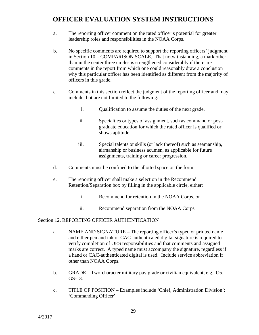- a. The reporting officer comment on the rated officer's potential for greater leadership roles and responsibilities in the NOAA Corps.
- b. No specific comments are required to support the reporting officers' judgment in Section 10 – COMPARISON SCALE. That notwithstanding, a mark other than in the center three circles is strengthened considerably if there are comments in the report from which one could reasonably draw a conclusion why this particular officer has been identified as different from the majority of officers in this grade.
- c. Comments in this section reflect the judgment of the reporting officer and may include, but are not limited to the following:
	- i. Qualification to assume the duties of the next grade.
	- ii. Specialties or types of assignment, such as command or postgraduate education for which the rated officer is qualified or shows aptitude.
	- iii. Special talents or skills (or lack thereof) such as seamanship, airmanship or business acumen, as applicable for future assignments, training or career progression.
- d. Comments must be confined to the allotted space on the form.
- e. The reporting officer shall make a selection in the Recommend Retention/Separation box by filling in the applicable circle, either:
	- i. Recommend for retention in the NOAA Corps, or
	- ii. Recommend separation from the NOAA Corps

#### Section 12. REPORTING OFFICER AUTHENTICATION

- a. NAME AND SIGNATURE The reporting officer's typed or printed name and either pen and ink or CAC-authenticated digital signature is required to verify completion of OES responsibilities and that comments and assigned marks are correct. A typed name must accompany the signature, regardless if a hand or CAC-authenticated digital is used. Include service abbreviation if other than NOAA Corps.
- b. GRADE Two-character military pay grade or civilian equivalent, e.g., O5, GS-13.
- c. TITLE OF POSITION Examples include 'Chief, Administration Division'; 'Commanding Officer'.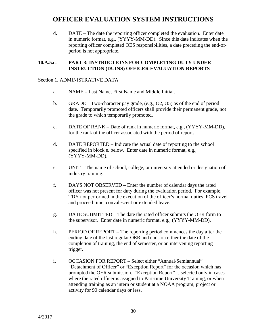d. DATE – The date the reporting officer completed the evaluation. Enter date in numeric format, e.g., (YYYY-MM-DD). Since this date indicates when the reporting officer completed OES responsibilities, a date preceding the end-ofperiod is not appropriate.

#### **10.A.5.c. PART 3: INSTRUCTIONS FOR COMPLETING DUTY UNDER INSTRUCTION (DUINS) OFFICER EVALUATION REPORTS**

#### Section 1. ADMINISTRATIVE DATA

- a. NAME Last Name, First Name and Middle Initial.
- b. GRADE Two-character pay grade, (e.g., O2, O5) as of the end of period date. Temporarily promoted officers shall provide their permanent grade, not the grade to which temporarily promoted.
- c. DATE OF RANK Date of rank in numeric format, e.g., (YYYY-MM-DD), for the rank of the officer associated with the period of report.
- d. DATE REPORTED Indicate the actual date of reporting to the school specified in block e. below. Enter date in numeric format, e.g., (YYYY-MM-DD).
- e. UNIT The name of school, college, or university attended or designation of industry training.
- f. DAYS NOT OBSERVED Enter the number of calendar days the rated officer was not present for duty during the evaluation period. For example, TDY not performed in the execution of the officer's normal duties, PCS travel and proceed time, convalescent or extended leave.
- g. DATE SUBMITTED The date the rated officer submits the OER form to the supervisor. Enter date in numeric format, e.g., (YYYY-MM-DD).
- h. PERIOD OF REPORT The reporting period commences the day after the ending date of the last regular OER and ends on either the date of the completion of training, the end of semester, or an intervening reporting trigger.
- i. OCCASION FOR REPORT Select either "Annual/Semiannual" "Detachment of Officer" or "Exception Report" for the occasion which has prompted the OER submission. "Exception Report" is selected only in cases where the rated officer is assigned to Part-time University Training, or when attending training as an intern or student at a NOAA program, project or activity for 90 calendar days or less.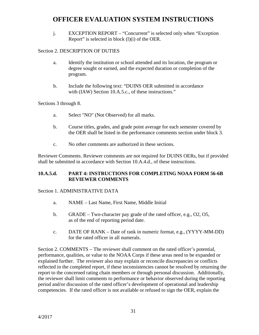j. EXCEPTION REPORT – "Concurrent" is selected only when "Exception Report" is selected in block (l)(i) of the OER.

### Section 2. DESCRIPTION OF DUTIES

- a. Identify the institution or school attended and its location, the program or degree sought or earned, and the expected duration or completion of the program.
- b. Include the following text: "DUINS OER submitted in accordance with (IAW) Section 10.A.5.c., of these instructions."

Sections 3 through 8.

- a. Select "NO" (Not Observed) for all marks.
- b. Course titles, grades, and grade point average for each semester covered by the OER shall be listed in the performance comments section under block 3.
- c. No other comments are authorized in these sections.

Reviewer Comments. Reviewer comments are not required for DUINS OERs, but if provided shall be submitted in accordance with Section 10.A.4.d., of these instructions.

### **10.A.5.d. PART 4: INSTRUCTIONS FOR COMPLETING NOAA FORM 56-6B REVIEWER COMMENTS**

#### Section 1. ADMINISTRATIVE DATA

- a. NAME Last Name, First Name, Middle Initial
- b. GRADE Two-character pay grade of the rated officer, e.g., O2, O5, as of the end of reporting period date.
- c. DATE OF RANK Date of rank in numeric format, e.g., (YYYY-MM-DD) for the rated officer in all numerals.

Section 2. COMMENTS – The reviewer shall comment on the rated officer's potential, performance, qualities, or value to the NOAA Corps if these areas need to be expanded or explained further. The reviewer also may explain or reconcile discrepancies or conflicts reflected in the completed report, if these inconsistencies cannot be resolved by returning the report to the concerned rating chain members or through personal discussion. Additionally, the reviewer shall limit comments to performance or behavior observed during the reporting period and/or discussion of the rated officer's development of operational and leadership competencies. If the rated officer is not available or refused to sign the OER, explain the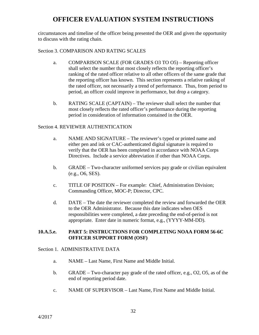circumstances and timeline of the officer being presented the OER and given the opportunity to discuss with the rating chain.

#### Section 3. COMPARISON AND RATING SCALES

- a. COMPARISON SCALE (FOR GRADES O3 TO O5) Reporting officer shall select the number that most closely reflects the reporting officer's ranking of the rated officer relative to all other officers of the same grade that the reporting officer has known. This section represents a relative ranking of the rated officer, not necessarily a trend of performance. Thus, from period to period, an officer could improve in performance, but drop a category.
- b. RATING SCALE (CAPTAIN) The reviewer shall select the number that most closely reflects the rated officer's performance during the reporting period in consideration of information contained in the OER.

#### Section 4. REVIEWER AUTHENTICATION

- a. NAME AND SIGNATURE The reviewer's typed or printed name and either pen and ink or CAC-authenticated digital signature is required to verify that the OER has been completed in accordance with NOAA Corps Directives. Include a service abbreviation if other than NOAA Corps.
- b. GRADE Two-character uniformed services pay grade or civilian equivalent (e.g., O6, SES).
- c. TITLE OF POSITION For example: Chief, Administration Division; Commanding Officer, MOC-P; Director, CPC.
- d. DATE The date the reviewer completed the review and forwarded the OER to the OER Administrator. Because this date indicates when OES responsibilities were completed, a date preceding the end-of-period is not appropriate. Enter date in numeric format, e.g., (YYYY-MM-DD).

#### **10.A.5.e. PART 5: INSTRUCTIONS FOR COMPLETING NOAA FORM 56-6C OFFICER SUPPORT FORM (OSF)**

#### Section 1. ADMINISTRATIVE DATA

- a. NAME Last Name, First Name and Middle Initial.
- b. GRADE Two-character pay grade of the rated officer, e.g., O2, O5, as of the end of reporting period date.
- c. NAME OF SUPERVISOR Last Name, First Name and Middle Initial.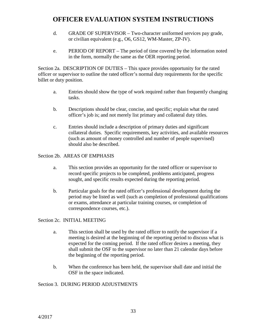- d. GRADE OF SUPERVISOR Two-character uniformed services pay grade, or civilian equivalent (e.g., O6, GS12, WM-Master, ZP-IV).
- e. PERIOD OF REPORT The period of time covered by the information noted in the form, normally the same as the OER reporting period.

Section 2a. DESCRIPTION OF DUTIES – This space provides opportunity for the rated officer or supervisor to outline the rated officer's normal duty requirements for the specific billet or duty position.

- a. Entries should show the type of work required rather than frequently changing tasks.
- b. Descriptions should be clear, concise, and specific; explain what the rated officer's job is; and not merely list primary and collateral duty titles.
- c. Entries should include a description of primary duties and significant collateral duties. Specific requirements, key activities, and available resources (such as amount of money controlled and number of people supervised) should also be described.

### Section 2b. AREAS OF EMPHASIS

- a. This section provides an opportunity for the rated officer or supervisor to record specific projects to be completed, problems anticipated, progress sought, and specific results expected during the reporting period.
- b. Particular goals for the rated officer's professional development during the period may be listed as well (such as completion of professional qualifications or exams, attendance at particular training courses, or completion of correspondence courses, etc.).

### Section 2c. INITIAL MEETING

- a. This section shall be used by the rated officer to notify the supervisor if a meeting is desired at the beginning of the reporting period to discuss what is expected for the coming period. If the rated officer desires a meeting, they shall submit the OSF to the supervisor no later than 21 calendar days before the beginning of the reporting period.
- b. When the conference has been held, the supervisor shall date and initial the OSF in the space indicated.

### Section 3. DURING PERIOD ADJUSTMENTS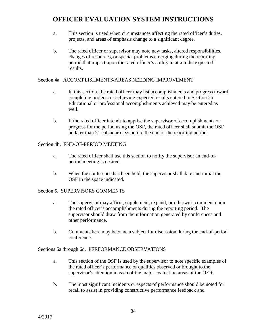- a. This section is used when circumstances affecting the rated officer's duties, projects, and areas of emphasis change to a significant degree.
- b. The rated officer or supervisor may note new tasks, altered responsibilities, changes of resources, or special problems emerging during the reporting period that impact upon the rated officer's ability to attain the expected results.

#### Section 4a. ACCOMPLISHMENTS/AREAS NEEDING IMPROVEMENT

- a. In this section, the rated officer may list accomplishments and progress toward completing projects or achieving expected results entered in Section 2b. Educational or professional accomplishments achieved may be entered as well.
- b. If the rated officer intends to apprise the supervisor of accomplishments or progress for the period using the OSF, the rated officer shall submit the OSF no later than 21 calendar days before the end of the reporting period.

#### Section 4b. END-OF-PERIOD MEETING

- a. The rated officer shall use this section to notify the supervisor an end-ofperiod meeting is desired.
- b. When the conference has been held, the supervisor shall date and initial the OSF in the space indicated.

#### Section 5. SUPERVISORS COMMENTS

- a. The supervisor may affirm, supplement, expand, or otherwise comment upon the rated officer's accomplishments during the reporting period. The supervisor should draw from the information generated by conferences and other performance.
- b. Comments here may become a subject for discussion during the end-of-period conference.

Sections 6a through 6d. PERFORMANCE OBSERVATIONS

- a. This section of the OSF is used by the supervisor to note specific examples of the rated officer's performance or qualities observed or brought to the supervisor's attention in each of the major evaluation areas of the OER.
- b. The most significant incidents or aspects of performance should be noted for recall to assist in providing constructive performance feedback and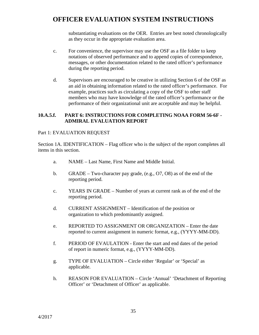substantiating evaluations on the OER. Entries are best noted chronologically as they occur in the appropriate evaluation area.

- c. For convenience, the supervisor may use the OSF as a file folder to keep notations of observed performance and to append copies of correspondence, messages, or other documentation related to the rated officer's performance during the reporting period.
- d. Supervisors are encouraged to be creative in utilizing Section 6 of the OSF as an aid in obtaining information related to the rated officer's performance. For example, practices such as circulating a copy of the OSF to other staff members who may have knowledge of the rated officer's performance or the performance of their organizational unit are acceptable and may be helpful.

#### **10.A.5.f. PART 6: INSTRUCTIONS FOR COMPLETING NOAA FORM 56-6F - ADMIRAL EVALUATION REPORT**

#### Part 1: EVALUATION REQUEST

Section 1A. IDENTIFICATION – Flag officer who is the subject of the report completes all items in this section.

- a. NAME Last Name, First Name and Middle Initial.
- b. GRADE Two-character pay grade, (e.g., O7, O8) as of the end of the reporting period.
- c. YEARS IN GRADE Number of years at current rank as of the end of the reporting period.
- d. CURRENT ASSIGNMENT Identification of the position or organization to which predominantly assigned.
- e. REPORTED TO ASSIGNMENT OR ORGANIZATION Enter the date reported to current assignment in numeric format, e.g., (YYYY-MM-DD).
- f. PERIOD OF EVAULATION Enter the start and end dates of the period of report in numeric format, e.g., (YYYY-MM-DD).
- g. TYPE OF EVALUATION Circle either 'Regular' or 'Special' as applicable.
- h. REASON FOR EVALUATION Circle 'Annual' 'Detachment of Reporting Officer' or 'Detachment of Officer' as applicable.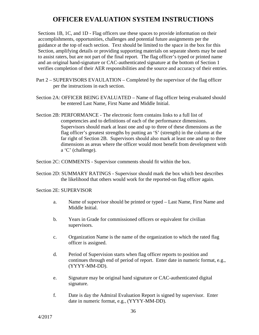Sections 1B, 1C, and 1D - Flag officers use these spaces to provide information on their accomplishments, opportunities, challenges and potential future assignments per the guidance at the top of each section. Text should be limited to the space in the box for this Section, amplifying details or providing supporting materials on separate sheets may be used to assist raters, but are not part of the final report. The flag officer's typed or printed name and an original hand-signature or CAC-authenticated signature at the bottom of Section 1 verifies completion of their AER responsibilities and the source and accuracy of their entries.

- Part 2 SUPERVISORS EVAULATION Completed by the supervisor of the flag officer per the instructions in each section.
- Section 2A: OFFICER BEING EVALUATED Name of flag officer being evaluated should be entered Last Name, First Name and Middle Initial.
- Section 2B: PERFORMANCE The electronic form contains links to a full list of competencies and to definitions of each of the performance dimensions. Supervisors should mark at least one and up to three of these dimensions as the flag officer's greatest strengths by putting an 'S' (strength) in the column at the far right of Section 2B. Supervisors should also mark at least one and up to three dimensions as areas where the officer would most benefit from development with a 'C' (challenge).

Section 2C: COMMENTS - Supervisor comments should fit within the box.

Section 2D: SUMMARY RATINGS - Supervisor should mark the box which best describes the likelihood that others would work for the reported-on flag officer again.

#### Section 2E: SUPERVISOR

- a. Name of supervisor should be printed or typed Last Name, First Name and Middle Initial.
- b. Years in Grade for commissioned officers or equivalent for civilian supervisors.
- c. Organization Name is the name of the organization to which the rated flag officer is assigned.
- d. Period of Supervision starts when flag officer reports to position and continues through end of period of report. Enter date in numeric format, e.g., (YYYY-MM-DD).
- e. Signature may be original hand signature or CAC-authenticated digital signature.
- f. Date is day the Admiral Evaluation Report is signed by supervisor. Enter date in numeric format, e.g., (YYYY-MM-DD).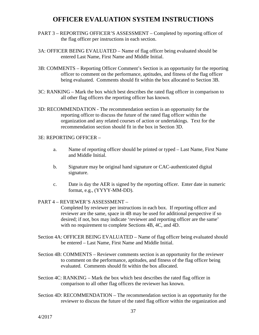- PART 3 REPORTING OFFICER'S ASSESSMENT Completed by reporting officer of the flag officer per instructions in each section.
- 3A: OFFICER BEING EVALUATED Name of flag officer being evaluated should be entered Last Name, First Name and Middle Initial.
- 3B: COMMENTS Reporting Officer Comment's Section is an opportunity for the reporting officer to comment on the performance, aptitudes, and fitness of the flag officer being evaluated. Comments should fit within the box allocated to Section 3B.
- 3C: RANKING Mark the box which best describes the rated flag officer in comparison to all other flag officers the reporting officer has known.
- 3D: RECOMMENDATION The recommendation section is an opportunity for the reporting officer to discuss the future of the rated flag officer within the organization and any related courses of action or undertakings. Text for the recommendation section should fit in the box in Section 3D.

#### 3E: REPORTING OFFICER –

- a. Name of reporting officer should be printed or typed Last Name, First Name and Middle Initial.
- b. Signature may be original hand signature or CAC-authenticated digital signature.
- c. Date is day the AER is signed by the reporting officer. Enter date in numeric format, e.g., (YYYY-MM-DD).

#### PART 4 – REVIEWER'S ASSESSMENT –

Completed by reviewer per instructions in each box. If reporting officer and reviewer are the same, space in 4B may be used for additional perspective if so desired; if not, box may indicate 'reviewer and reporting officer are the same' with no requirement to complete Sections 4B, 4C, and 4D.

- Section 4A: OFFICER BEING EVALUATED Name of flag officer being evaluated should be entered – Last Name, First Name and Middle Initial.
- Section 4B: COMMENTS Reviewer comments section is an opportunity for the reviewer to comment on the performance, aptitudes, and fitness of the flag officer being evaluated. Comments should fit within the box allocated.
- Section 4C: RANKING Mark the box which best describes the rated flag officer in comparison to all other flag officers the reviewer has known.
- Section 4D: RECOMMENDATION The recommendation section is an opportunity for the reviewer to discuss the future of the rated flag officer within the organization and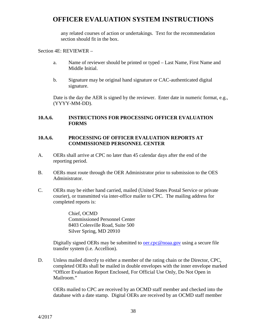any related courses of action or undertakings. Text for the recommendation section should fit in the box.

Section 4E: REVIEWER –

- a. Name of reviewer should be printed or typed Last Name, First Name and Middle Initial.
- b. Signature may be original hand signature or CAC-authenticated digital signature.

Date is the day the AER is signed by the reviewer. Enter date in numeric format, e.g., (YYYY-MM-DD).

### **10.A.6. INSTRUCTIONS FOR PROCESSING OFFICER EVALUATION FORMS**

#### **10.A.6. PROCESSING OF OFFICER EVALUATION REPORTS AT COMMISSIONED PERSONNEL CENTER**

- A. OERs shall arrive at CPC no later than 45 calendar days after the end of the reporting period.
- B. OERs must route through the OER Administrator prior to submission to the OES Administrator.
- C. OERs may be either hand carried, mailed (United States Postal Service or private courier), or transmitted via inter-office mailer to CPC. The mailing address for completed reports is:

Chief, OCMD Commissioned Personnel Center 8403 Colesville Road, Suite 500 Silver Spring, MD 20910

Digitally signed OERs may be submitted to <u>oer.cpc@noaa.gov</u> using a secure file transfer system (i.e. Accellion).

D. Unless mailed directly to either a member of the rating chain or the Director, CPC, completed OERs shall be mailed in double envelopes with the inner envelope marked "Officer Evaluation Report Enclosed, For Official Use Only, Do Not Open in Mailroom."

OERs mailed to CPC are received by an OCMD staff member and checked into the database with a date stamp. Digital OERs are received by an OCMD staff member